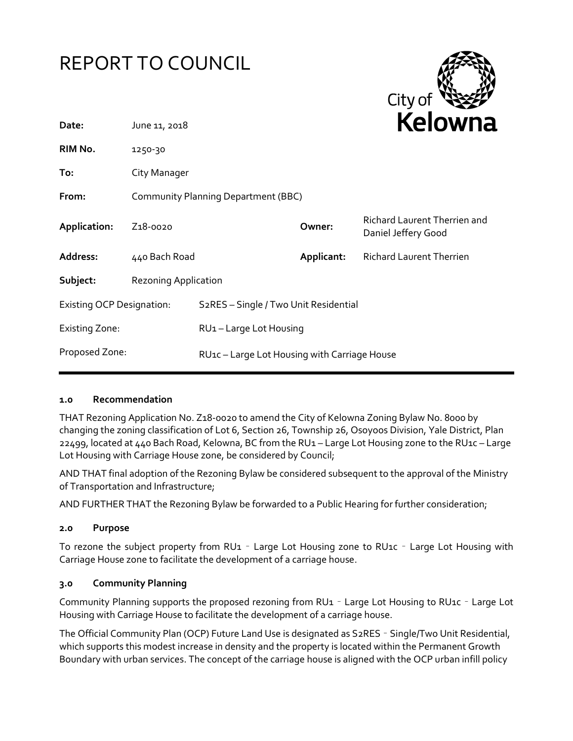# REPORT TO COUNCIL



| June 11, 2018                       |                                                           | REIUWIId      |                                                            |
|-------------------------------------|-----------------------------------------------------------|---------------|------------------------------------------------------------|
| 1250-30                             |                                                           |               |                                                            |
| City Manager                        |                                                           |               |                                                            |
| Community Planning Department (BBC) |                                                           |               |                                                            |
| Z <sub>1</sub> 8-0020               |                                                           | Owner:        | <b>Richard Laurent Therrien and</b><br>Daniel Jeffery Good |
|                                     |                                                           | Applicant:    | <b>Richard Laurent Therrien</b>                            |
| <b>Rezoning Application</b>         |                                                           |               |                                                            |
| <b>Existing OCP Designation:</b>    | S <sub>2</sub> RES - Single / Two Unit Residential        |               |                                                            |
|                                     |                                                           |               |                                                            |
|                                     | RU <sub>1</sub> c – Large Lot Housing with Carriage House |               |                                                            |
|                                     |                                                           | 440 Bach Road | RU1-Large Lot Housing                                      |

#### **1.0 Recommendation**

THAT Rezoning Application No. Z18-0020 to amend the City of Kelowna Zoning Bylaw No. 8000 by changing the zoning classification of Lot 6, Section 26, Township 26, Osoyoos Division, Yale District, Plan 22499, located at 440 Bach Road, Kelowna, BC from the RU1 – Large Lot Housing zone to the RU1c – Large Lot Housing with Carriage House zone, be considered by Council;

AND THAT final adoption of the Rezoning Bylaw be considered subsequent to the approval of the Ministry of Transportation and Infrastructure;

AND FURTHER THAT the Rezoning Bylaw be forwarded to a Public Hearing for further consideration;

#### **2.0 Purpose**

To rezone the subject property from RU1 – Large Lot Housing zone to RU1c – Large Lot Housing with Carriage House zone to facilitate the development of a carriage house.

#### **3.0 Community Planning**

Community Planning supports the proposed rezoning from RU1 – Large Lot Housing to RU1c – Large Lot Housing with Carriage House to facilitate the development of a carriage house.

The Official Community Plan (OCP) Future Land Use is designated as S2RES – Single/Two Unit Residential, which supports this modest increase in density and the property is located within the Permanent Growth Boundary with urban services. The concept of the carriage house is aligned with the OCP urban infill policy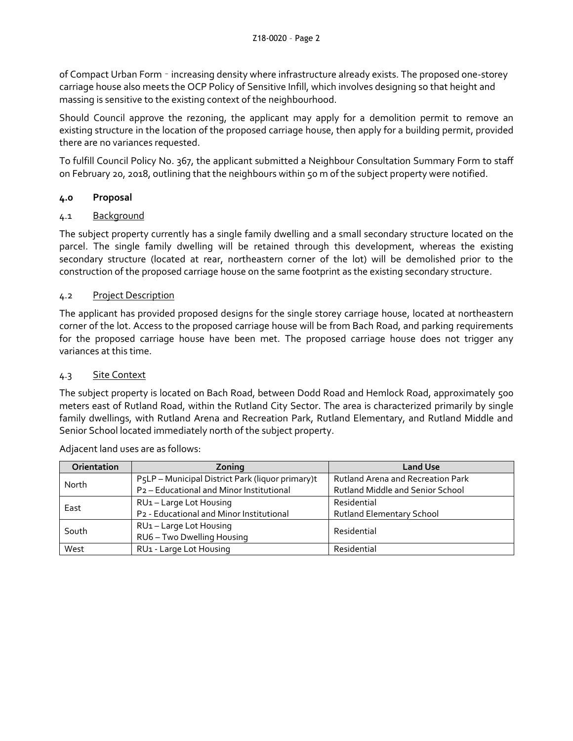of Compact Urban Form – increasing density where infrastructure already exists. The proposed one-storey carriage house also meets the OCP Policy of Sensitive Infill, which involves designing so that height and massing is sensitive to the existing context of the neighbourhood.

Should Council approve the rezoning, the applicant may apply for a demolition permit to remove an existing structure in the location of the proposed carriage house, then apply for a building permit, provided there are no variances requested.

To fulfill Council Policy No. 367, the applicant submitted a Neighbour Consultation Summary Form to staff on February 20, 2018, outlining that the neighbours within 50 m of the subject property were notified.

# **4.0 Proposal**

### 4.1 Background

The subject property currently has a single family dwelling and a small secondary structure located on the parcel. The single family dwelling will be retained through this development, whereas the existing secondary structure (located at rear, northeastern corner of the lot) will be demolished prior to the construction of the proposed carriage house on the same footprint as the existing secondary structure.

# 4.2 Project Description

The applicant has provided proposed designs for the single storey carriage house, located at northeastern corner of the lot. Access to the proposed carriage house will be from Bach Road, and parking requirements for the proposed carriage house have been met. The proposed carriage house does not trigger any variances at this time.

## 4.3 Site Context

The subject property is located on Bach Road, between Dodd Road and Hemlock Road, approximately 500 meters east of Rutland Road, within the Rutland City Sector. The area is characterized primarily by single family dwellings, with Rutland Arena and Recreation Park, Rutland Elementary, and Rutland Middle and Senior School located immediately north of the subject property.

| Orientation | Zoning                                               | <b>Land Use</b>                          |
|-------------|------------------------------------------------------|------------------------------------------|
| North       | P5LP - Municipal District Park (liquor primary)t     | <b>Rutland Arena and Recreation Park</b> |
|             | P <sub>2</sub> - Educational and Minor Institutional | <b>Rutland Middle and Senior School</b>  |
| East        | RU1-Large Lot Housing                                | Residential                              |
|             | P2 - Educational and Minor Institutional             | <b>Rutland Elementary School</b>         |
| South       | RU1-Large Lot Housing                                | Residential                              |
|             | RU6 - Two Dwelling Housing                           |                                          |
| West        | RU1 - Large Lot Housing                              | Residential                              |

Adjacent land uses are as follows: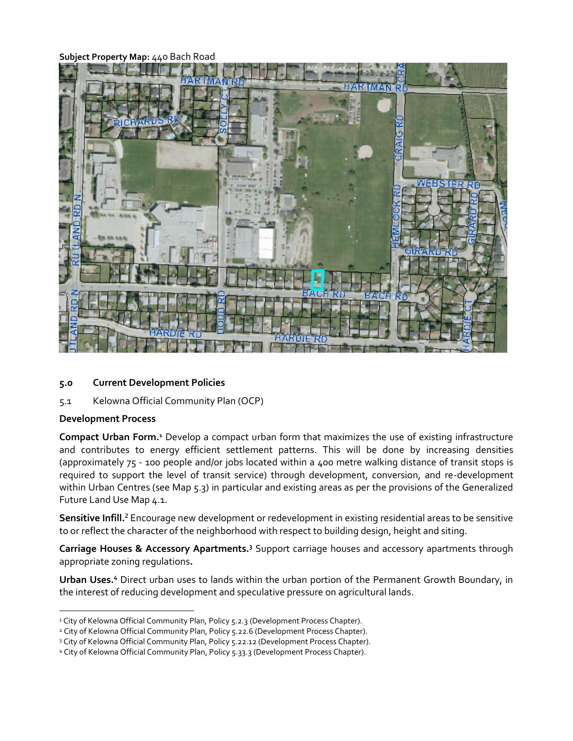**Subject Property Map:** 440 Bach Road



#### **5.0 Current Development Policies**

5.1 Kelowna Official Community Plan (OCP)

#### **Development Process**

-

**Compact Urban Form.<sup>1</sup>** Develop a compact urban form that maximizes the use of existing infrastructure and contributes to energy efficient settlement patterns. This will be done by increasing densities (approximately 75 - 100 people and/or jobs located within a 400 metre walking distance of transit stops is required to support the level of transit service) through development, conversion, and re-development within Urban Centres (see Map 5.3) in particular and existing areas as per the provisions of the Generalized Future Land Use Map 4.1.

**Sensitive Infill.<sup>2</sup>** Encourage new development or redevelopment in existing residential areas to be sensitive to or reflect the character of the neighborhood with respect to building design, height and siting.

**Carriage Houses & Accessory Apartments.<sup>3</sup>** Support carriage houses and accessory apartments through appropriate zoning regulations**.**

**Urban Uses.<sup>4</sup>** Direct urban uses to lands within the urban portion of the Permanent Growth Boundary, in the interest of reducing development and speculative pressure on agricultural lands.

<sup>&</sup>lt;sup>1</sup> City of Kelowna Official Community Plan, Policy 5.2.3 (Development Process Chapter).

<sup>&</sup>lt;sup>2</sup> City of Kelowna Official Community Plan, Policy 5.22.6 (Development Process Chapter).

<sup>3</sup> City of Kelowna Official Community Plan, Policy 5.22.12 (Development Process Chapter).

<sup>4</sup> City of Kelowna Official Community Plan, Policy 5.33.3 (Development Process Chapter).